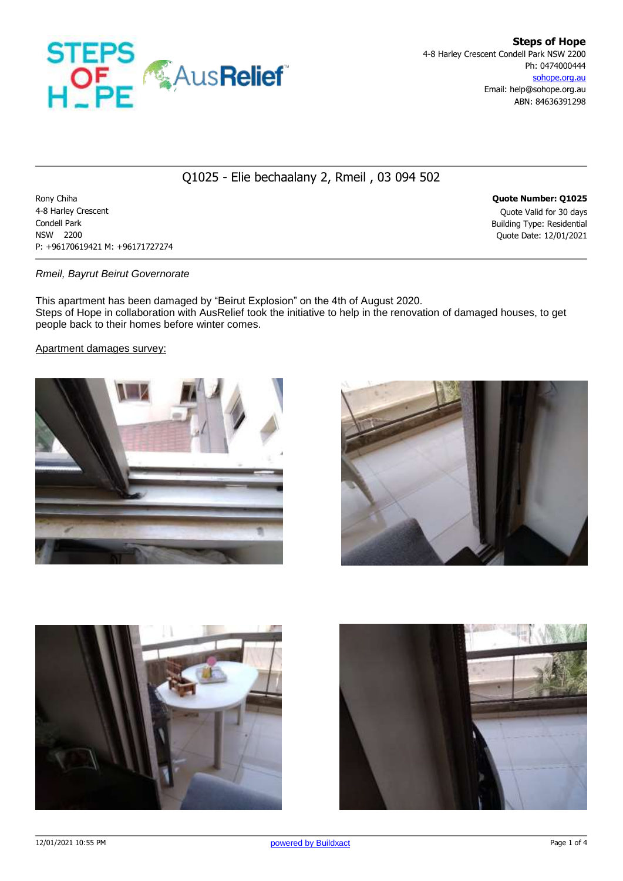

# Q1025 - Elie bechaalany 2, Rmeil , 03 094 502

Rony Chiha **Quote Number: Q1025** 4-8 Harley Crescent Quote Valid for 30 days Condell Park Building Type: Residential NSW 2200 Quote Date: 12/01/2021 P: +96170619421 M: +96171727274

### *Rmeil, Bayrut Beirut Governorate*

This apartment has been damaged by "Beirut Explosion" on the 4th of August 2020. Steps of Hope in collaboration with AusRelief took the initiative to help in the renovation of damaged houses, to get people back to their homes before winter comes.

Apartment damages survey:







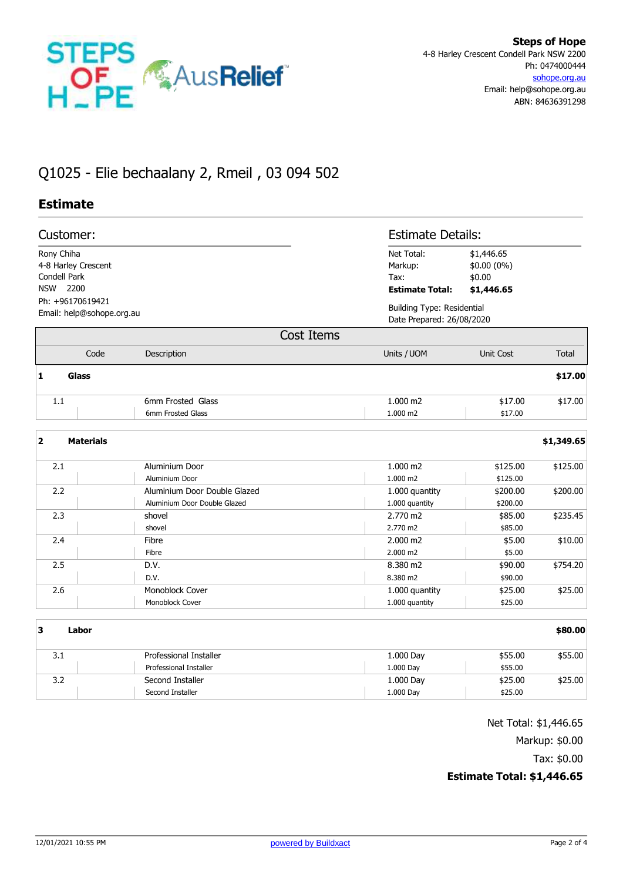

# Q1025 - Elie bechaalany 2, Rmeil , 03 094 502

## **Estimate**

|                                                                                                                | Customer:        |                                        |                                                         | <b>Estimate Details:</b>                                       |            |  |
|----------------------------------------------------------------------------------------------------------------|------------------|----------------------------------------|---------------------------------------------------------|----------------------------------------------------------------|------------|--|
| Rony Chiha<br>4-8 Harley Crescent<br>Condell Park<br>NSW 2200<br>Ph: +96170619421<br>Email: help@sohope.org.au |                  |                                        | Net Total:<br>Markup:<br>Tax:<br><b>Estimate Total:</b> | \$1,446.65<br>\$0.00 (0%)<br>\$0.00<br>\$1,446.65              |            |  |
|                                                                                                                |                  |                                        |                                                         | <b>Building Type: Residential</b><br>Date Prepared: 26/08/2020 |            |  |
|                                                                                                                |                  | <b>Cost Items</b>                      |                                                         |                                                                |            |  |
|                                                                                                                | Code             | Description                            | Units / UOM                                             | Unit Cost                                                      | Total      |  |
| $\mathbf{1}$                                                                                                   | Glass            |                                        |                                                         |                                                                | \$17.00    |  |
| 1.1                                                                                                            |                  | 6mm Frosted Glass<br>6mm Frosted Glass | 1.000 m2<br>1.000 m2                                    | \$17.00<br>\$17.00                                             | \$17.00    |  |
| $\overline{\mathbf{2}}$                                                                                        | <b>Materials</b> |                                        |                                                         |                                                                | \$1,349.65 |  |
| 2.1                                                                                                            |                  | Aluminium Door                         | 1.000 m2                                                | \$125.00                                                       | \$125.00   |  |
|                                                                                                                |                  | Aluminium Door                         | 1.000 m2                                                | \$125.00                                                       |            |  |
| 2.2                                                                                                            |                  | Aluminium Door Double Glazed           | 1.000 quantity                                          | \$200.00                                                       | \$200.00   |  |
|                                                                                                                |                  | Aluminium Door Double Glazed           | 1.000 quantity                                          | \$200.00                                                       |            |  |
| 2.3                                                                                                            |                  | shovel                                 | 2.770 m2                                                | \$85.00                                                        | \$235.45   |  |
|                                                                                                                |                  | shovel                                 | 2.770 m2                                                | \$85.00                                                        |            |  |
| 2.4                                                                                                            |                  | Fibre                                  | 2.000 m2                                                | \$5.00                                                         | \$10.00    |  |
|                                                                                                                |                  | Fibre                                  | 2.000 m2                                                | \$5.00                                                         |            |  |
| 2.5                                                                                                            |                  | D.V.                                   | 8.380 m2                                                | \$90.00                                                        | \$754.20   |  |
|                                                                                                                |                  | D.V.                                   | 8.380 m2                                                | \$90.00                                                        |            |  |
| 2.6                                                                                                            |                  | Monoblock Cover                        | 1.000 quantity                                          | \$25.00                                                        | \$25.00    |  |
|                                                                                                                |                  | Monoblock Cover                        | 1.000 quantity                                          | \$25.00                                                        |            |  |
| 3                                                                                                              | Labor            |                                        |                                                         |                                                                | \$80.00    |  |
| 3.1                                                                                                            |                  | Professional Installer                 | 1.000 Day                                               | \$55.00                                                        | \$55.00    |  |
|                                                                                                                |                  | <b>Professional Installer</b>          | 1.000 Day                                               | \$55.00                                                        |            |  |
| 3.2                                                                                                            |                  | Second Installer                       | 1.000 Day                                               | \$25.00                                                        | \$25.00    |  |
|                                                                                                                |                  | Second Installer                       | 1.000 Day                                               | \$25.00                                                        |            |  |

Net Total: \$1,446.65

Markup: \$0.00

Tax: \$0.00

## **Estimate Total: \$1,446.65**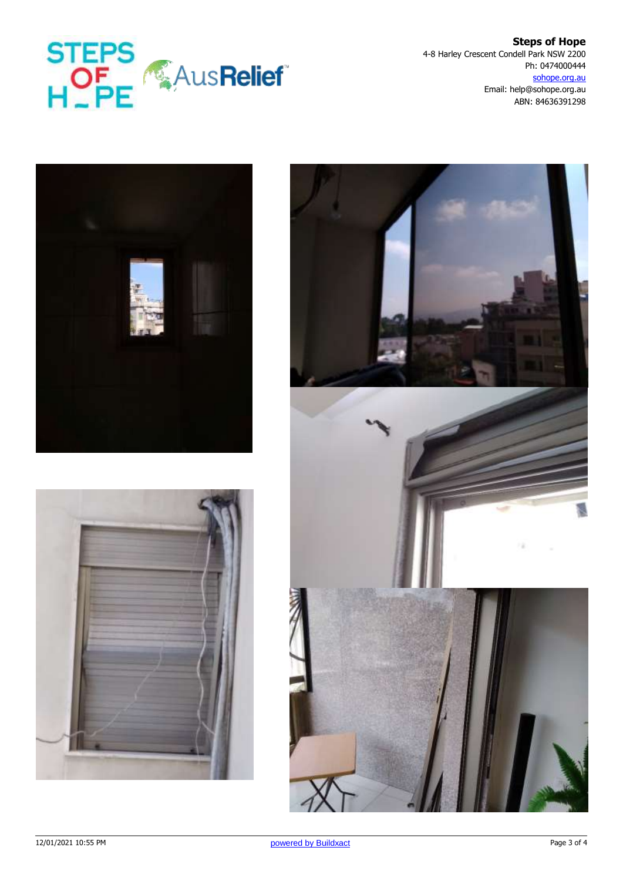

**Steps of Hope** 4-8 Harley Crescent Condell Park NSW 2200 Ph: 0474000444 sohope.org.au Email: help@sohope.org.au ABN: 84636391298





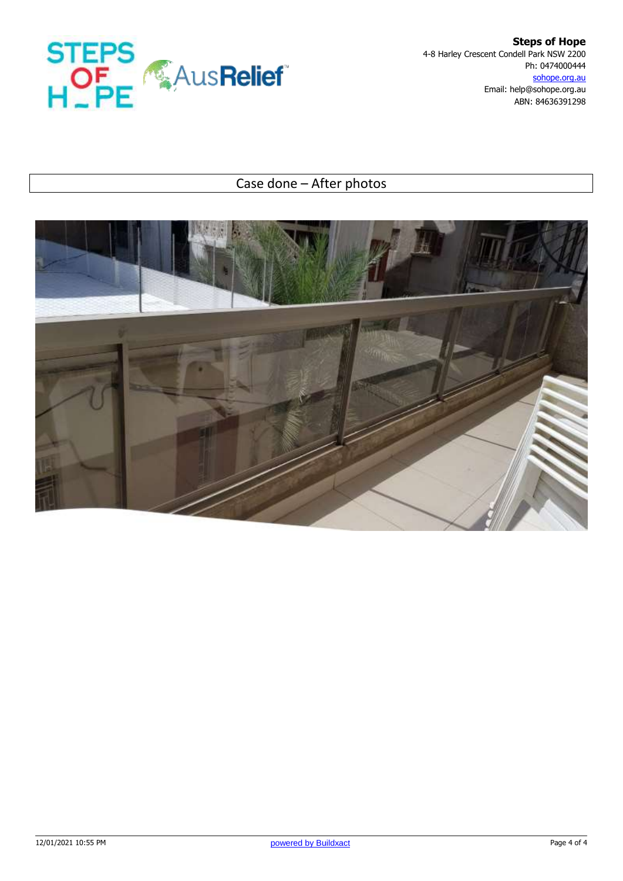

**Steps of Hope** 4-8 Harley Crescent Condell Park NSW 2200 Ph: 0474000444 sohope.org.au Email: help@sohope.org.au ABN: 84636391298

# Case done – After photos